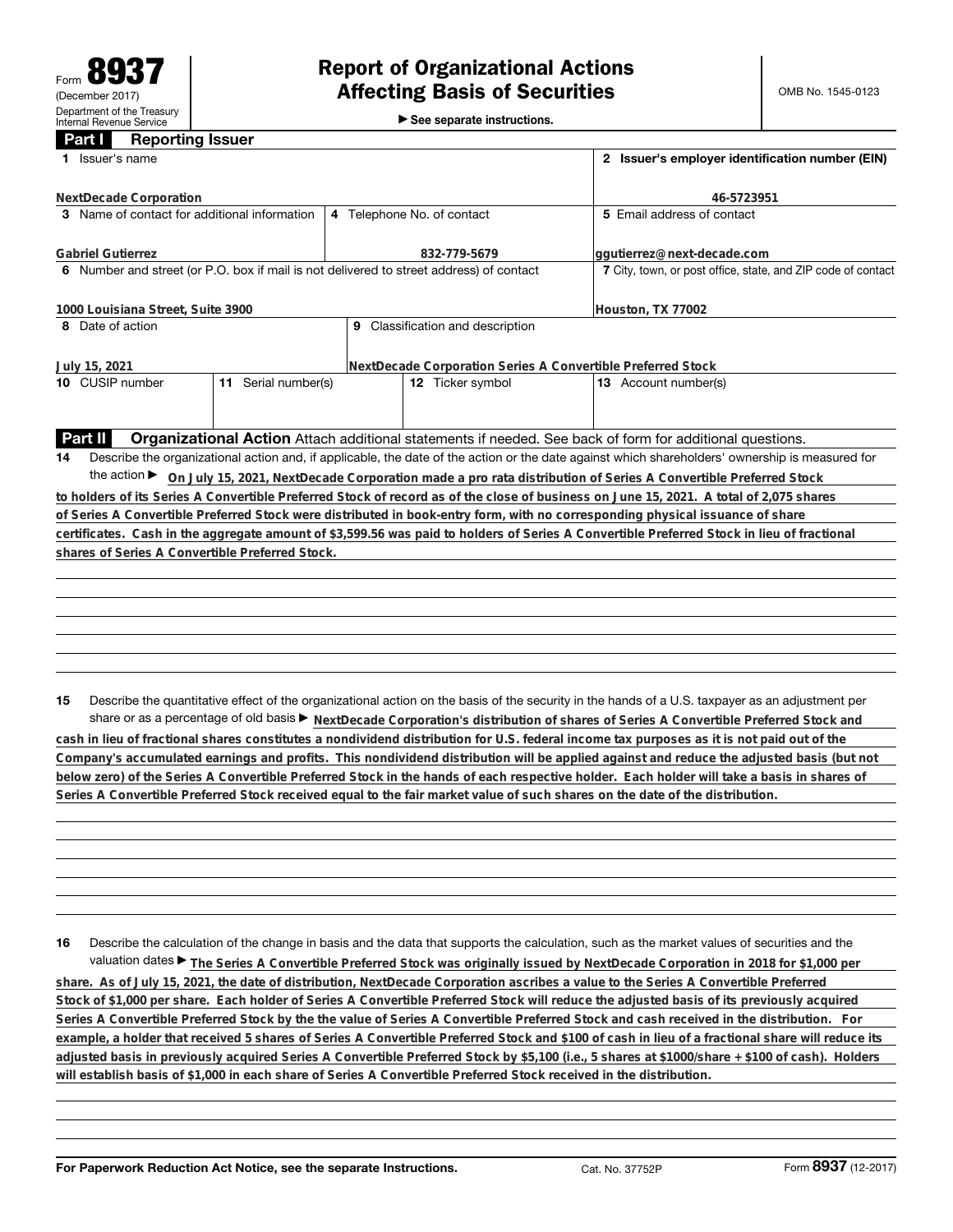►<br>► See separate instructions.

## **Part I Reporting Issuer**

|    | Issuer's name                                                                           | 2 Issuer's employer identification number (EIN)              |                                                                                                                                                 |                                                                                                                                                 |  |
|----|-----------------------------------------------------------------------------------------|--------------------------------------------------------------|-------------------------------------------------------------------------------------------------------------------------------------------------|-------------------------------------------------------------------------------------------------------------------------------------------------|--|
|    | NextDecade Corporation                                                                  |                                                              |                                                                                                                                                 | 46-5723951                                                                                                                                      |  |
|    | 3 Name of contact for additional information                                            |                                                              | 4 Telephone No. of contact                                                                                                                      | 5 Email address of contact                                                                                                                      |  |
|    | <b>Gabriel Gutierrez</b>                                                                |                                                              | 832-779-5679                                                                                                                                    | ggutierrez@next-decade.com                                                                                                                      |  |
|    | 6 Number and street (or P.O. box if mail is not delivered to street address) of contact | 7 City, town, or post office, state, and ZIP code of contact |                                                                                                                                                 |                                                                                                                                                 |  |
|    | 1000 Louisiana Street, Suite 3900                                                       | Houston, TX 77002                                            |                                                                                                                                                 |                                                                                                                                                 |  |
|    | 8 Date of action                                                                        |                                                              | 9 Classification and description                                                                                                                |                                                                                                                                                 |  |
|    | July 15, 2021                                                                           | NextDecade Corporation Series A Convertible Preferred Stock  |                                                                                                                                                 |                                                                                                                                                 |  |
|    | 11 Serial number(s)<br>10 CUSIP number                                                  |                                                              | 12 Ticker symbol                                                                                                                                | 13 Account number(s)                                                                                                                            |  |
|    |                                                                                         |                                                              |                                                                                                                                                 |                                                                                                                                                 |  |
|    | Part II                                                                                 |                                                              |                                                                                                                                                 | Organizational Action Attach additional statements if needed. See back of form for additional questions.                                        |  |
| 14 |                                                                                         |                                                              | Describe the organizational action and, if applicable, the date of the action or the date against which shareholders' ownership is measured for |                                                                                                                                                 |  |
|    |                                                                                         |                                                              |                                                                                                                                                 | the action ► On July 15, 2021, NextDecade Corporation made a pro rata distribution of Series A Convertible Preferred Stock                      |  |
|    |                                                                                         |                                                              |                                                                                                                                                 | to holders of its Series A Convertible Preferred Stock of record as of the close of business on June 15, 2021. A total of 2,075 shares          |  |
|    |                                                                                         |                                                              |                                                                                                                                                 | of Series A Convertible Preferred Stock were distributed in book-entry form, with no corresponding physical issuance of share                   |  |
|    |                                                                                         |                                                              |                                                                                                                                                 | certificates. Cash in the aggregate amount of \$3,599.56 was paid to holders of Series A Convertible Preferred Stock in lieu of fractional      |  |
|    | shares of Series A Convertible Preferred Stock.                                         |                                                              |                                                                                                                                                 |                                                                                                                                                 |  |
|    |                                                                                         |                                                              |                                                                                                                                                 |                                                                                                                                                 |  |
|    |                                                                                         |                                                              |                                                                                                                                                 |                                                                                                                                                 |  |
|    |                                                                                         |                                                              |                                                                                                                                                 |                                                                                                                                                 |  |
|    |                                                                                         |                                                              |                                                                                                                                                 |                                                                                                                                                 |  |
|    |                                                                                         |                                                              |                                                                                                                                                 |                                                                                                                                                 |  |
|    |                                                                                         |                                                              |                                                                                                                                                 |                                                                                                                                                 |  |
|    |                                                                                         |                                                              |                                                                                                                                                 |                                                                                                                                                 |  |
| 15 |                                                                                         |                                                              |                                                                                                                                                 | Describe the quantitative effect of the organizational action on the basis of the security in the hands of a U.S. taxpayer as an adjustment per |  |

share or as a percentage of old basis  $\blacktriangleright$  NextDecade Corporation's distribution of shares of Series A Convertible Preferred Stock and **cash in lieu of fractional shares constitutes a nondividend distribution for U.S. federal income tax purposes as it is not paid out of the Company's accumulated earnings and profits. This nondividend distribution will be applied against and reduce the adjusted basis (but not below zero) of the Series A Convertible Preferred Stock in the hands of each respective holder. Each holder will take a basis in shares of Series A Convertible Preferred Stock received equal to the fair market value of such shares on the date of the distribution.**

**16** Describe the calculation of the change in basis and the data that supports the calculation, such as the market values of securities and the valuation dates ▶ The Series A Convertible Preferred Stock was originally issued by NextDecade Corporation in 2018 for \$1,000 per **share. As of July 15, 2021, the date of distribution, NextDecade Corporation ascribes a value to the Series A Convertible Preferred Stock of \$1,000 per share. Each holder of Series A Convertible Preferred Stock will reduce the adjusted basis of its previously acquired Series A Convertible Preferred Stock by the the value of Series A Convertible Preferred Stock and cash received in the distribution. For example, a holder that received 5 shares of Series A Convertible Preferred Stock and \$100 of cash in lieu of a fractional share will reduce its adjusted basis in previously acquired Series A Convertible Preferred Stock by \$5,100 (i.e., 5 shares at \$1000/share + \$100 of cash). Holders will establish basis of \$1,000 in each share of Series A Convertible Preferred Stock received in the distribution.**